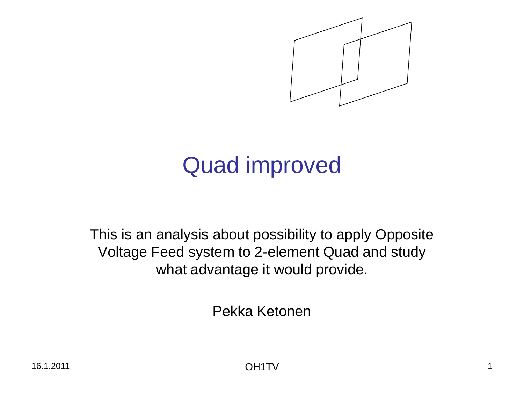

# Quad improved

This is an analysis about possibility to apply Opposite Voltage Feed system to 2-element Quad and study what advantage it would provide.

Pekka Ketonen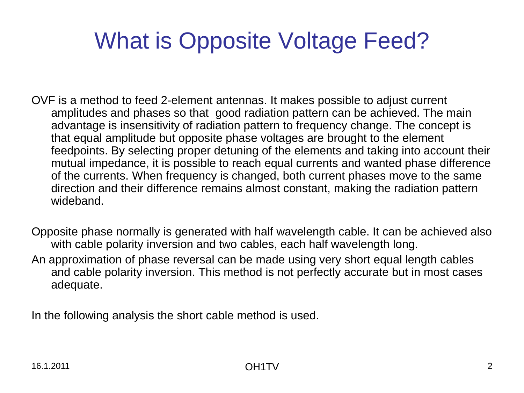# What is Opposite Voltage Feed?

- OVF is a method to feed 2-element antennas. It makes possible to adjust current amplitudes and phases so that good radiation pattern can be achieved. The main advantage is insensitivity of radiation pattern to frequency change. The concept is that equal amplitude but opposite phase voltages are brought to the element feedpoints. By selecting proper detuning of the elements and taking into account their mutual impedance, it is possible to reach equal currents and wanted phase difference of the currents. When frequency is changed, both current phases move to the same direction and their difference remains almost constant, making the radiation pattern wideband.
- Opposite phase normally is generated with half wavelength cable. It can be achieved also with cable polarity inversion and two cables, each half wavelength long. An approximation of phase reversal can be made using very short equal length cables and cable polarity inversion. This method is not perfectly accurate but in most cases adequate.

In the following analysis the short cable method is used.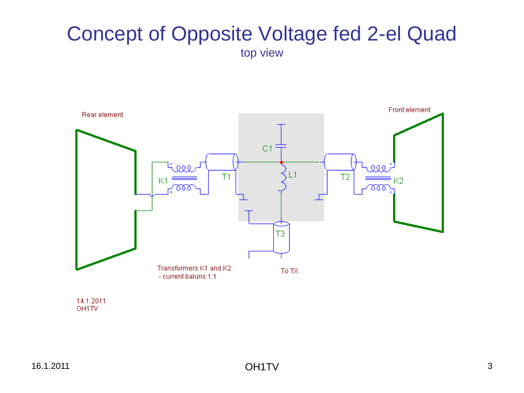#### Concept of Opposite Voltage fed 2-el Quad top view



14.1.2011 OH1TV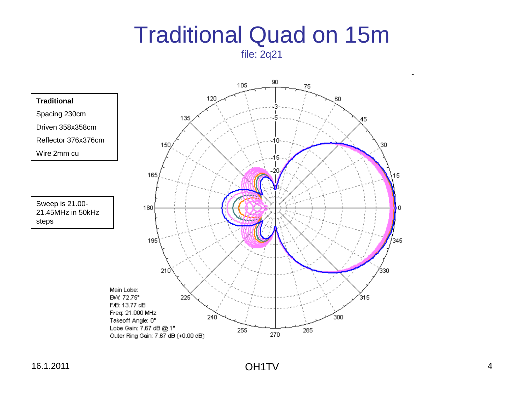# Traditional Quad on 15m

file: 2q21

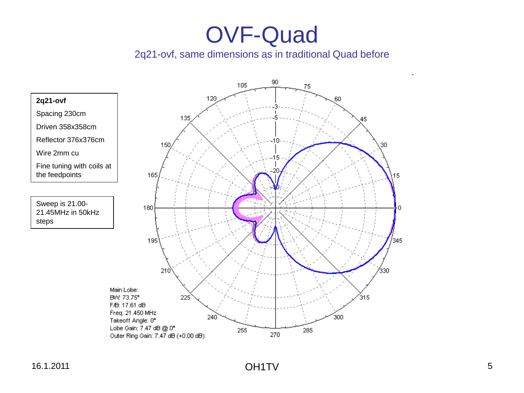#### 2q21-ovf, same dimensions as in traditional Quad before

105 120 **2q21-ovf** Spacing 230cm 135 Driven 358x358cm Reflector 376x376cm 150 Wire 2mm cu Fine tuning with coils at the feedpoints165 Sweep is 21.00- 180 21.45MHz in 50kHz steps 195  $210$ Main Lobe:  $225$ BW: 73.75° F/B: 17.61 dB Freq: 21.450 MHz 240 Takeoff Angle: 0°

90 75 60 45  $-10-$ 30  $-15$ 15 0 /345 7330 315 300 Lobe Gain: 7.47 dB @ 0° 255 285 270 Outer Ring Gain: 7.47 dB (+0.00 dB)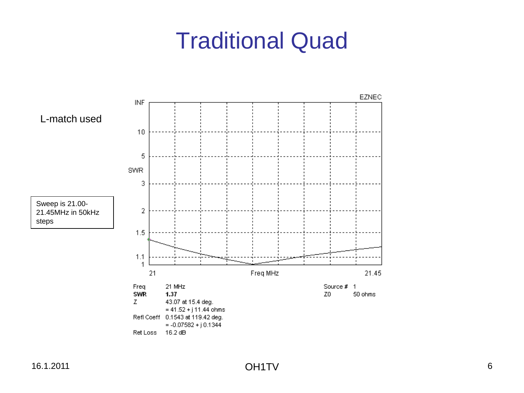## Traditional Quad

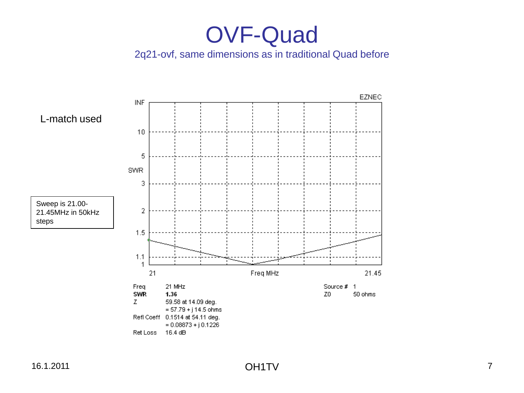#### 2q21-ovf, same dimensions as in traditional Quad before

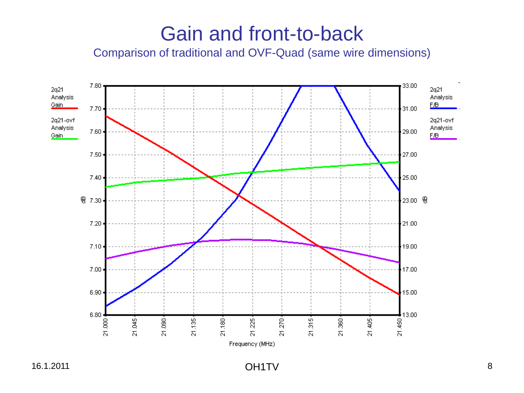### Gain and front-to-back

Comparison of traditional and OVF-Quad (same wire dimensions)

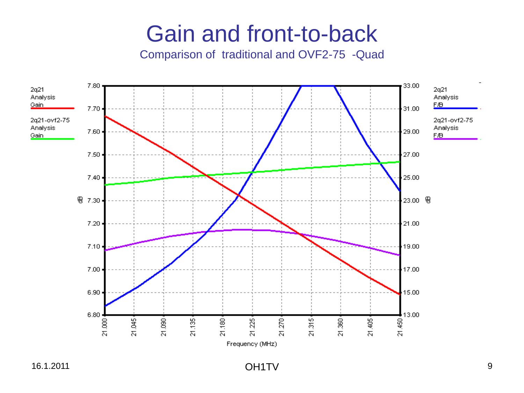### Gain and front-to-back

Comparison of traditional and OVF2-75 -Quad



16.1.2011 OH1TV 9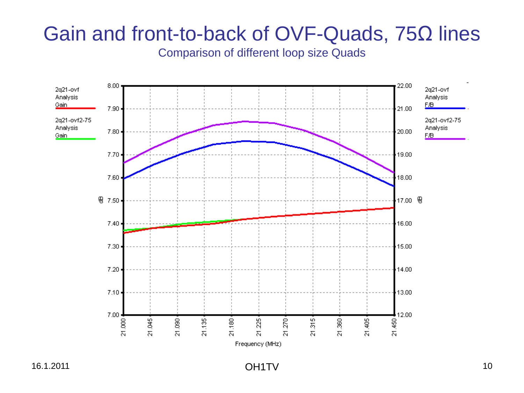### Gain and front-to-back of OVF-Quads, 75Ω lines

Comparison of different loop size Quads

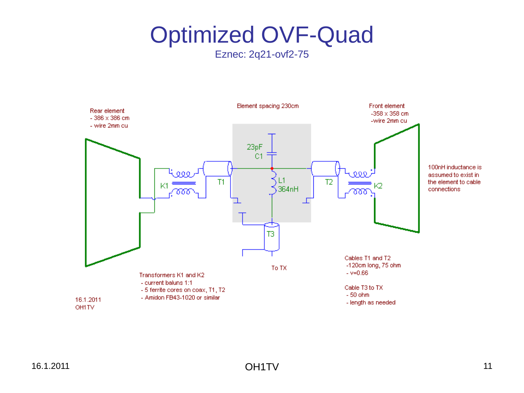Eznec: 2q21-ovf2-75

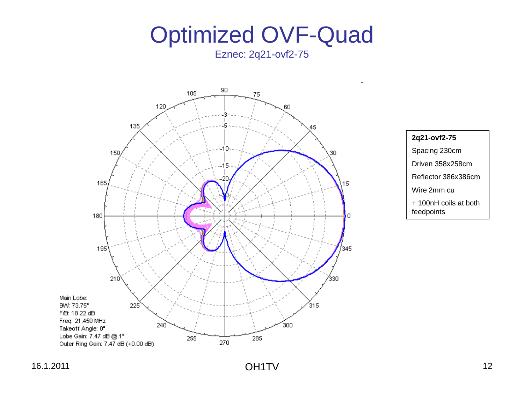Eznec: 2q21-ovf2-75





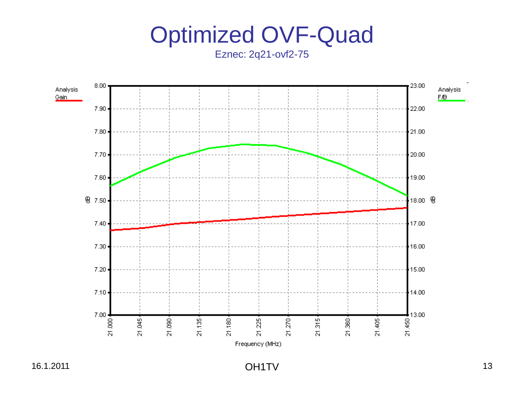Eznec: 2q21-ovf2-75

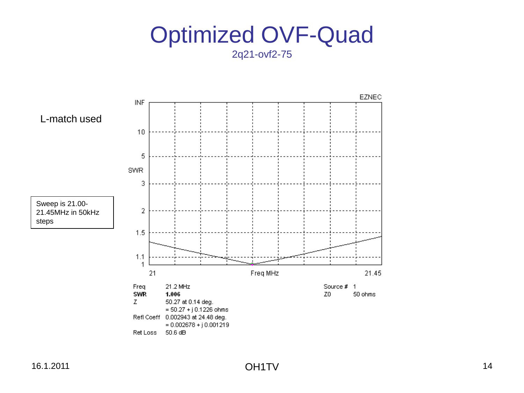2q21-ovf2-75

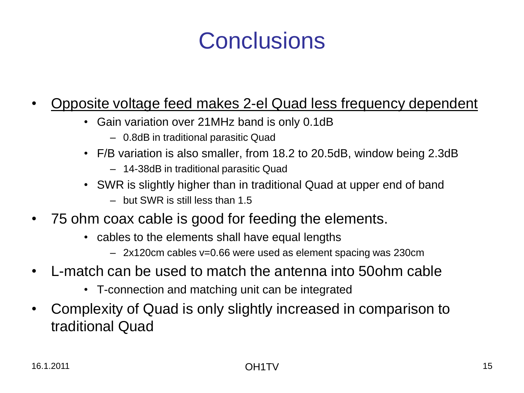# **Conclusions**

#### • Opposite voltage feed makes 2-el Quad less frequency dependent

- Gain variation over 21MHz band is only 0.1dB
	- 0.8dB in traditional parasitic Quad
- F/B variation is also smaller, from 18.2 to 20.5dB, window being 2.3dB
	- 14-38dB in traditional parasitic Quad
- SWR is slightly higher than in traditional Quad at upper end of band
	- but SWR is still less than 1.5
- 75 ohm coax cable is good for feeding the elements.
	- cables to the elements shall have equal lengths
		- 2x120cm cables v=0.66 were used as element spacing was 230cm
- L-match can be used to match the antenna into 50ohm cable
	- T-connection and matching unit can be integrated
- Complexity of Quad is only slightly increased in comparison to traditional Quad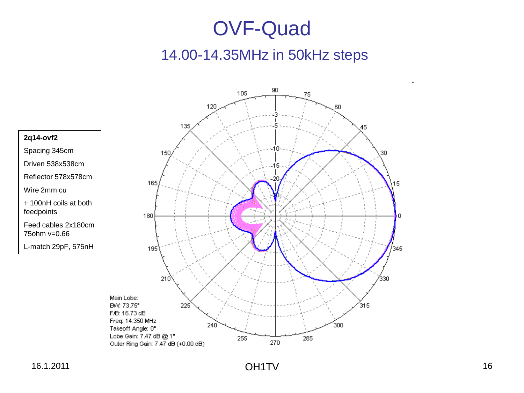#### 14.00-14.35MHz in 50kHz steps



#### **2q14-ovf2**

Spacing 345cm Driven 538x538cm

Reflector 578x578cm

Wire 2mm cu

+ 100nH coils at both feedpoints

Feed cables 2x180cm 75ohm v=0.66

L-match 29pF, 575nH

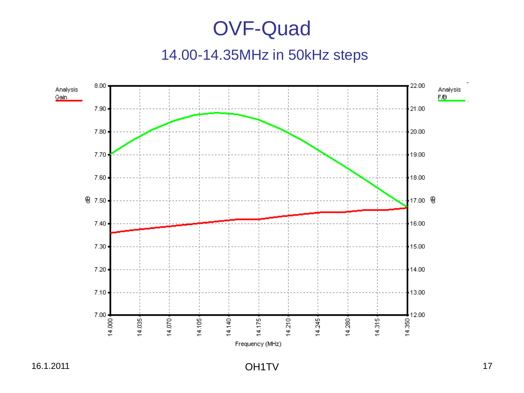#### 14.00-14.35MHz in 50kHz steps